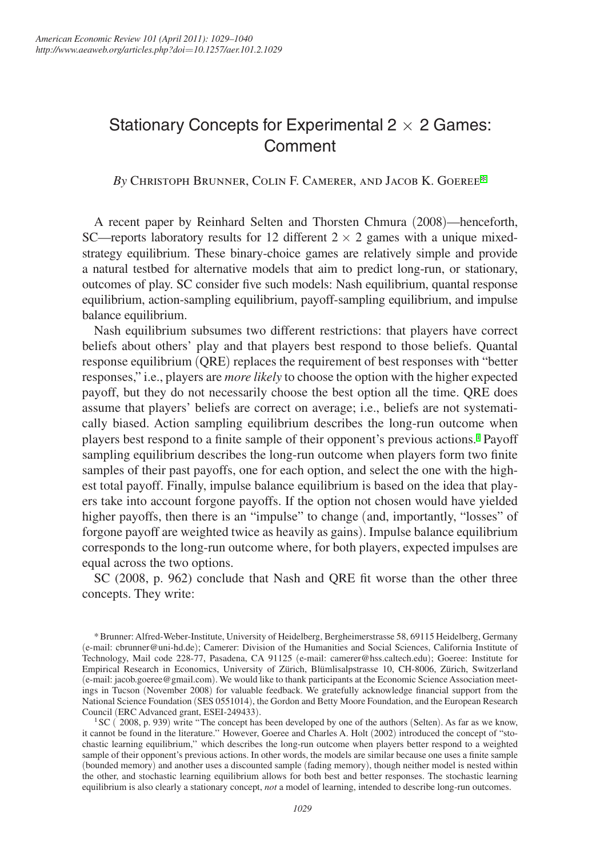# Stationary Concepts for Experimental  $2 \times 2$  Games: **Comment**

*By* Christoph Brunner, Colin F. Camerer, and Jacob K. Goeree\*

A recent paper by Reinhard Selten and Thorsten Chmura (2008)—henceforth, SC—reports laboratory results for 12 different  $2 \times 2$  games with a unique mixedstrategy equilibrium. These binary-choice games are relatively simple and provide a natural testbed for alternative models that aim to predict long-run, or stationary, outcomes of play. SC consider five such models: Nash equilibrium, quantal response equilibrium, action-sampling equilibrium, payoff-sampling equilibrium, and impulse balance equilibrium.

Nash equilibrium subsumes two different restrictions: that players have correct beliefs about others' play and that players best respond to those beliefs. Quantal response equilibrium (QRE) replaces the requirement of best responses with "better responses," i.e., players are *more likely* to choose the option with the higher expected payoff, but they do not necessarily choose the best option all the time. QRE does assume that players' beliefs are correct on average; i.e., beliefs are not systematically biased. Action sampling equilibrium describes the long-run outcome when players best respond to a finite sample of their opponent's previous actions.<sup>1</sup> Payoff sampling equilibrium describes the long-run outcome when players form two finite samples of their past payoffs, one for each option, and select the one with the highest total payoff. Finally, impulse balance equilibrium is based on the idea that players take into account forgone payoffs. If the option not chosen would have yielded higher payoffs, then there is an "impulse" to change (and, importantly, "losses" of forgone payoff are weighted twice as heavily as gains). Impulse balance equilibrium corresponds to the long-run outcome where, for both players, expected impulses are equal across the two options.

SC (2008, p. 962) conclude that Nash and QRE fit worse than the other three concepts. They write:

<sup>\*</sup>Brunner: Alfred-Weber-Institute, University of Heidelberg, Bergheimerstrasse 58, 69115 Heidelberg, Germany (e-mail: cbrunner@uni-hd.de); Camerer: Division of the Humanities and Social Sciences, California Institute of Technology, Mail code 228-77, Pasadena, CA 91125 (e-mail: camerer@hss.caltech.edu); Goeree: Institute for Empirical Research in Economics, University of Zürich, Blümlisalpstrasse 10, CH-8006, Zürich, Switzerland (e-mail: jacob.goeree@gmail.com). We would like to thank participants at the Economic Science Association meetings in Tucson (November 2008) for valuable feedback. We gratefully acknowledge financial support from the National Science Foundation (SES 0551014), the Gordon and Betty Moore Foundation, and the European Research Council (ERC Advanced grant, ESEI-249433).

 ${}^{1}$ SC ( 2008, p. 939) write "The concept has been developed by one of the authors (Selten). As far as we know, it cannot be found in the literature.'' However, Goeree and Charles A. Holt (2002) introduced the concept of "stochastic learning equilibrium,'' which describes the long-run outcome when players better respond to a weighted sample of their opponent's previous actions. In other words, the models are similar because one uses a finite sample (bounded memory) and another uses a discounted sample (fading memory), though neither model is nested within the other, and stochastic learning equilibrium allows for both best and better responses. The stochastic learning equilibrium is also clearly a stationary concept, *not* a model of learning, intended to describe long-run outcomes.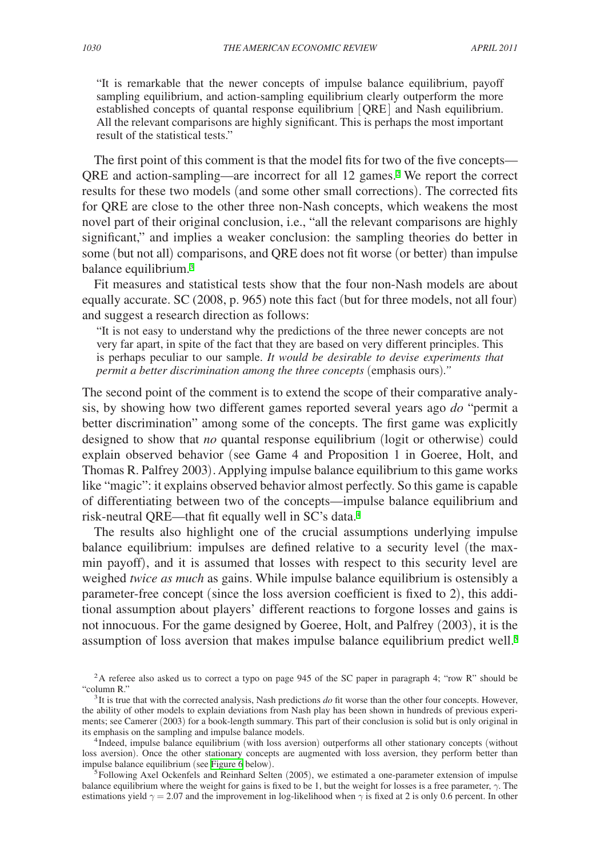"It is remarkable that the newer concepts of impulse balance equilibrium, payoff sampling equilibrium, and action-sampling equilibrium clearly outperform the more established concepts of quantal response equilibrium [QRE] and Nash equilibrium. All the relevant comparisons are highly significant. This is perhaps the most important result of the statistical tests."

The first point of this comment is that the model fits for two of the five concepts— QRE and action-sampling—are incorrect for all 12 games.<sup>2</sup> We report the correct results for these two models (and some other small corrections). The corrected fits for QRE are close to the other three non-Nash concepts, which weakens the most novel part of their original conclusion, i.e., "all the relevant comparisons are highly significant," and implies a weaker conclusion: the sampling theories do better in some (but not all) comparisons, and QRE does not fit worse (or better) than impulse balance equilibrium.<sup>3</sup>

Fit measures and statistical tests show that the four non-Nash models are about equally accurate. SC (2008, p. 965) note this fact (but for three models, not all four) and suggest a research direction as follows:

"It is not easy to understand why the predictions of the three newer concepts are not very far apart, in spite of the fact that they are based on very different principles. This is perhaps peculiar to our sample. *It would be desirable to devise experiments that permit a better discrimination among the three concepts* (emphasis ours)*."*

The second point of the comment is to extend the scope of their comparative analysis, by showing how two different games reported several years ago *do* "permit a better discrimination" among some of the concepts. The first game was explicitly designed to show that *no* quantal response equilibrium (logit or otherwise) could explain observed behavior (see Game 4 and Proposition 1 in Goeree, Holt, and Thomas R. Palfrey 2003). Applying impulse balance equilibrium to this game works like "magic": it explains observed behavior almost perfectly. So this game is capable of differentiating between two of the concepts—impulse balance equilibrium and risk-neutral QRE—that fit equally well in SC's data.4

The results also highlight one of the crucial assumptions underlying impulse balance equilibrium: impulses are defined relative to a security level (the maxmin payoff), and it is assumed that losses with respect to this security level are weighed *twice as much* as gains. While impulse balance equilibrium is ostensibly a parameter-free concept (since the loss aversion coefficient is fixed to 2), this additional assumption about players' different reactions to forgone losses and gains is not innocuous. For the game designed by Goeree, Holt, and Palfrey (2003), it is the assumption of loss aversion that makes impulse balance equilibrium predict well.<sup>5</sup>

<sup>&</sup>lt;sup>2</sup>A referee also asked us to correct a typo on page 945 of the SC paper in paragraph 4; "row R" should be "column R." 3It is true that with the corrected analysis, Nash predictions *do* fit worse than the other four concepts. However,

the ability of other models to explain deviations from Nash play has been shown in hundreds of previous experiments; see Camerer (2003) for a book-length summary. This part of their conclusion is solid but is only original in its emphasis on the sampling and impulse balance models.

<sup>&</sup>lt;sup>4</sup>Indeed, impulse balance equilibrium (with loss aversion) outperforms all other stationary concepts (without loss aversion). Once the other stationary concepts are augmented with loss aversion, they perform better than impulse balance equilibrium (see Figure 6 below).

 ${}^{5}$ Following Axel Ockenfels and Reinhard Selten (2005), we estimated a one-parameter extension of impulse balance equilibrium where the weight for gains is fixed to be 1, but the weight for losses is a free parameter,  $\gamma$ . The estimations yield  $\gamma = 2.07$  and the improvement in log-likelihood when  $\gamma$  is fixed at 2 is only 0.6 percent. In other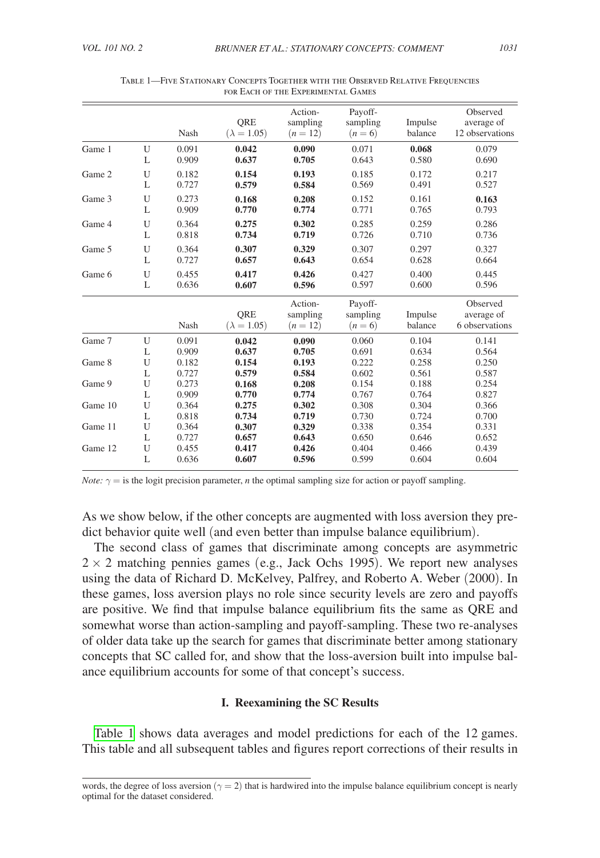<span id="page-2-0"></span>

|         |              | Nash  | ORE<br>$(\lambda = 1.05)$ | Action-<br>sampling<br>$(n = 12)$ | Payoff-<br>sampling<br>$(n=6)$ | Impulse<br>balance | Observed<br>average of<br>12 observations |
|---------|--------------|-------|---------------------------|-----------------------------------|--------------------------------|--------------------|-------------------------------------------|
| Game 1  | U            | 0.091 | 0.042                     | 0.090                             | 0.071                          | 0.068              | 0.079                                     |
|         | $\mathbf{L}$ | 0.909 | 0.637                     | 0.705                             | 0.643                          | 0.580              | 0.690                                     |
| Game 2  | U            | 0.182 | 0.154                     | 0.193                             | 0.185                          | 0.172              | 0.217                                     |
|         | $\mathbf{L}$ | 0.727 | 0.579                     | 0.584                             | 0.569                          | 0.491              | 0.527                                     |
| Game 3  | U            | 0.273 | 0.168                     | 0.208                             | 0.152                          | 0.161              | 0.163                                     |
|         | $\mathbf{L}$ | 0.909 | 0.770                     | 0.774                             | 0.771                          | 0.765              | 0.793                                     |
| Game 4  | U            | 0.364 | 0.275                     | 0.302                             | 0.285                          | 0.259              | 0.286                                     |
|         | $\mathbf{L}$ | 0.818 | 0.734                     | 0.719                             | 0.726                          | 0.710              | 0.736                                     |
| Game 5  | U            | 0.364 | 0.307                     | 0.329                             | 0.307                          | 0.297              | 0.327                                     |
|         | $\mathbf{L}$ | 0.727 | 0.657                     | 0.643                             | 0.654                          | 0.628              | 0.664                                     |
| Game 6  | U            | 0.455 | 0.417                     | 0.426                             | 0.427                          | 0.400              | 0.445                                     |
|         | $\mathbf{L}$ | 0.636 | 0.607                     | 0.596                             | 0.597                          | 0.600              | 0.596                                     |
|         |              | Nash  | ORE<br>$(\lambda = 1.05)$ | Action-<br>sampling<br>$(n = 12)$ | Payoff-<br>sampling<br>$(n=6)$ | Impulse<br>balance | Observed<br>average of<br>6 observations  |
| Game 7  | U            | 0.091 | 0.042                     | 0.090                             | 0.060                          | 0.104              | 0.141                                     |
|         | L            | 0.909 | 0.637                     | 0.705                             | 0.691                          | 0.634              | 0.564                                     |
| Game 8  | U            | 0.182 | 0.154                     | 0.193                             | 0.222                          | 0.258              | 0.250                                     |
|         | $\mathbf{L}$ | 0.727 | 0.579                     | 0.584                             | 0.602                          | 0.561              | 0.587                                     |
| Game 9  | U            | 0.273 | 0.168                     | 0.208                             | 0.154                          | 0.188              | 0.254                                     |
|         | $\mathbf{L}$ | 0.909 | 0.770                     | 0.774                             | 0.767                          | 0.764              | 0.827                                     |
| Game 10 | U            | 0.364 | 0.275                     | 0.302                             | 0.308                          | 0.304              | 0.366                                     |
|         | L            | 0.818 | 0.734                     | 0.719                             | 0.730                          | 0.724              | 0.700                                     |
| Game 11 | U            | 0.364 | 0.307                     | 0.329                             | 0.338                          | 0.354              | 0.331                                     |
|         | L            | 0.727 | 0.657                     | 0.643                             | 0.650                          | 0.646              | 0.652                                     |
| Game 12 | U            | 0.455 | 0.417                     | 0.426                             | 0.404                          | 0.466              | 0.439                                     |
|         | $\mathbf{L}$ | 0.636 | 0.607                     | 0.596                             | 0.599                          | 0.604              | 0.604                                     |

Table 1—Five Stationary Concepts Together with the Observed Relative Frequencies for Each of the Experimental Games

*Note:*  $\gamma$  = is the logit precision parameter, *n* the optimal sampling size for action or payoff sampling.

As we show below, if the other concepts are augmented with loss aversion they predict behavior quite well (and even better than impulse balance equilibrium).

The second class of games that discriminate among concepts are asymmetric  $2 \times 2$  matching pennies games (e.g., Jack Ochs 1995). We report new analyses using the data of Richard D. McKelvey, Palfrey, and Roberto A. Weber (2000). In these games, loss aversion plays no role since security levels are zero and payoffs are positive. We find that impulse balance equilibrium fits the same as QRE and somewhat worse than action-sampling and payoff-sampling. These two re-analyses of older data take up the search for games that discriminate better among stationary concepts that SC called for, and show that the loss-aversion built into impulse balance equilibrium accounts for some of that concept's success.

### **I. Reexamining the SC Results**

Table 1 shows data averages and model predictions for each of the 12 games. This table and all subsequent tables and figures report corrections of their results in

words, the degree of loss aversion ( $\gamma = 2$ ) that is hardwired into the impulse balance equilibrium concept is nearly optimal for the dataset considered.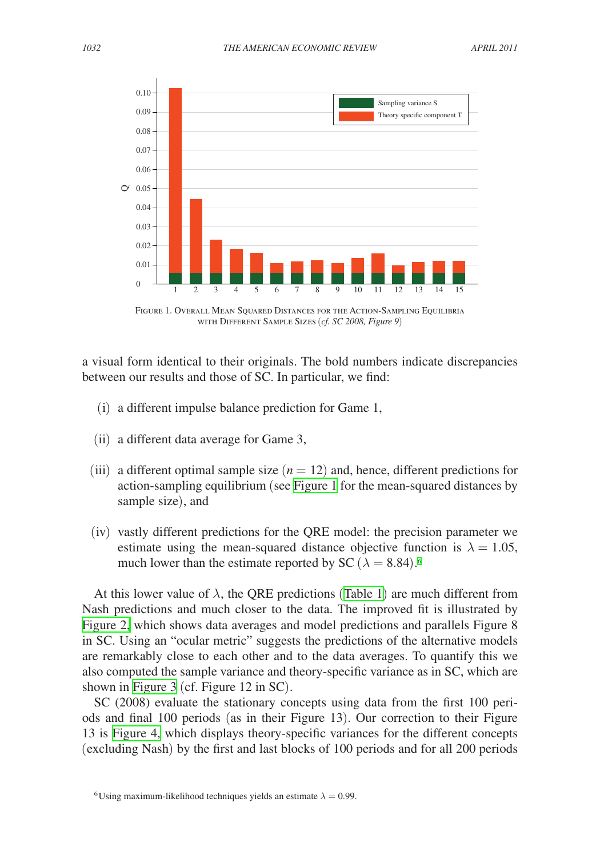

Figure 1. Overall Mean Squared Distances for the Action-Sampling Equilibria with Different Sample Sizes (*cf. SC 2008, Figure 9*)

a visual form identical to their originals. The bold numbers indicate discrepancies between our results and those of SC. In particular, we find:

- (i) a different impulse balance prediction for Game 1,
- (ii) a different data average for Game 3,
- (iii) a different optimal sample size  $(n = 12)$  and, hence, different predictions for action-sampling equilibrium (see Figure 1 for the mean-squared distances by sample size), and
- (iv) vastly different predictions for the QRE model: the precision parameter we estimate using the mean-squared distance objective function is  $\lambda = 1.05$ , much lower than the estimate reported by SC  $(\lambda = 8.84)$ .<sup>6</sup>

At this lower value of  $\lambda$ , the QRE predictions ([Table 1](#page-2-0)) are much different from Nash predictions and much closer to the data. The improved fit is illustrated by [Figure 2,](#page-4-0) which shows data averages and model predictions and parallels Figure 8 in SC. Using an "ocular metric" suggests the predictions of the alternative models are remarkably close to each other and to the data averages. To quantify this we also computed the sample variance and theory-specific variance as in SC, which are shown in [Figure 3](#page-4-0) (cf. Figure 12 in SC).

SC (2008) evaluate the stationary concepts using data from the first 100 periods and final 100 periods (as in their Figure 13). Our correction to their Figure 13 is [Figure 4,](#page-5-0) which displays theory-specific variances for the different concepts (excluding Nash) by the first and last blocks of 100 periods and for all 200 periods

<sup>&</sup>lt;sup>6</sup>Using maximum-likelihood techniques yields an estimate  $\lambda = 0.99$ .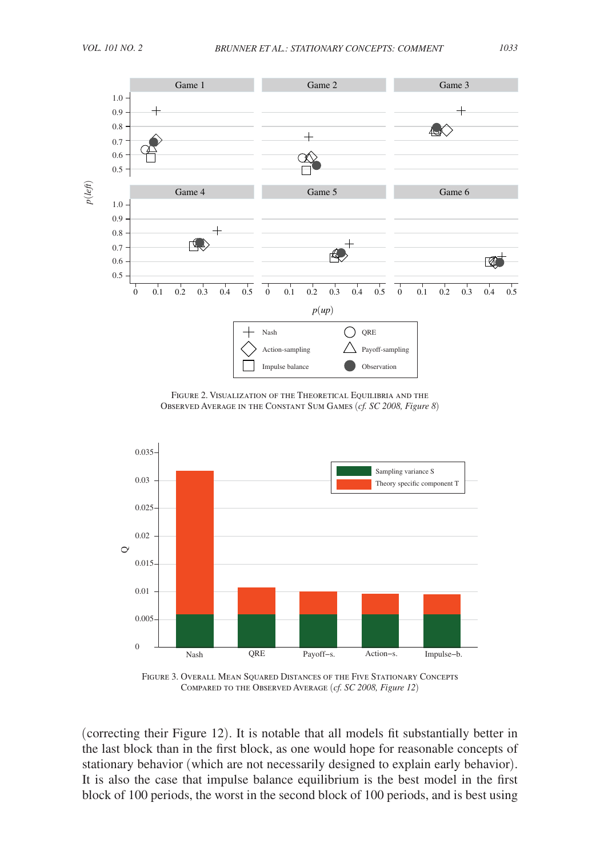<span id="page-4-0"></span>

Figure 2. Visualization of the Theoretical Equilibria and the Observed Average in the Constant Sum Games (*cf. SC 2008, Figure 8*)



Figure 3. Overall Mean Squared Distances of the Five Stationary Concepts Compared to the Observed Average (*cf. SC 2008, Figure 12*)

(correcting their Figure 12). It is notable that all models fit substantially better in the last block than in the first block, as one would hope for reasonable concepts of stationary behavior (which are not necessarily designed to explain early behavior). It is also the case that impulse balance equilibrium is the best model in the first block of 100 periods, the worst in the second block of 100 periods, and is best using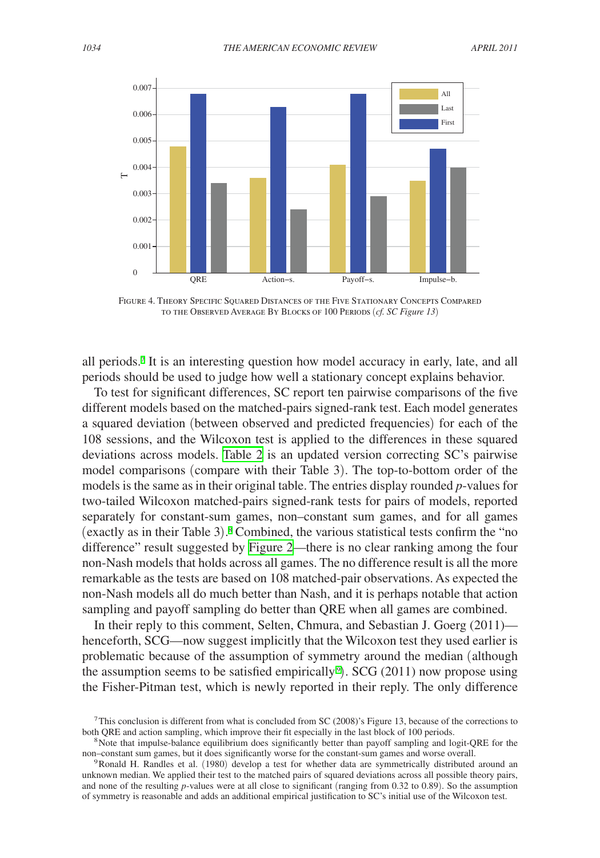<span id="page-5-0"></span>

Figure 4. Theory Specific Squared Distances of the Five Stationary Concepts Compared to the Observed Average By Blocks of 100 Periods (*cf. SC Figure 13*)

all periods.7 It is an interesting question how model accuracy in early, late, and all periods should be used to judge how well a stationary concept explains behavior.

To test for significant differences, SC report ten pairwise comparisons of the five different models based on the matched-pairs signed-rank test. Each model generates a squared deviation (between observed and predicted frequencies) for each of the 108 sessions, and the Wilcoxon test is applied to the differences in these squared deviations across models. [Table 2](#page-6-0) is an updated version correcting SC's pairwise model comparisons (compare with their Table 3). The top-to-bottom order of the models is the same as in their original table. The entries display rounded *p*-values for two-tailed Wilcoxon matched-pairs signed-rank tests for pairs of models, reported separately for constant-sum games, non–constant sum games, and for all games (exactly as in their Table 3). 8 Combined, the various statistical tests confirm the "no difference" result suggested by [Figure 2](#page-4-0)—there is no clear ranking among the four non-Nash models that holds across all games. The no difference result is all the more remarkable as the tests are based on 108 matched-pair observations. As expected the non-Nash models all do much better than Nash, and it is perhaps notable that action sampling and payoff sampling do better than QRE when all games are combined.

In their reply to this comment, Selten, Chmura, and Sebastian J. Goerg (2011) henceforth, SCG—now suggest implicitly that the Wilcoxon test they used earlier is problematic because of the assumption of symmetry around the median (although the assumption seems to be satisfied empirically<sup>9</sup>). SCG (2011) now propose using the Fisher-Pitman test, which is newly reported in their reply. The only difference

<sup>7</sup>This conclusion is different from what is concluded from SC (2008)'s Figure 13, because of the corrections to both QRE and action sampling, which improve their fit especially in the last block of 100 periods.<br><sup>8</sup>Note that impulse-balance equilibrium does significantly better than payoff sampling and logit-QRE for the

non–constant sum games, but it does significantly worse for the constant-sum games and worse overall.<br><sup>9</sup>Ronald H. Randles et al. (1980) develop a test for whether data are symmetrically distributed around an

unknown median. We applied their test to the matched pairs of squared deviations across all possible theory pairs, and none of the resulting *p*-values were at all close to significant (ranging from 0.32 to 0.89). So the assumption of symmetry is reasonable and adds an additional empirical justification to SC's initial use of the Wilcoxon test.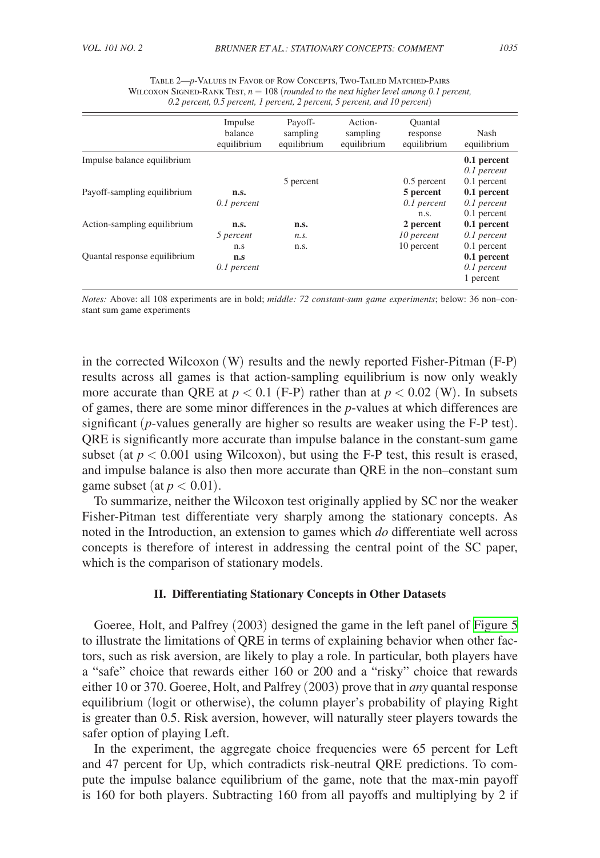<span id="page-6-0"></span>

|                              | Impulse<br>balance<br>equilibrium | Payoff-<br>sampling<br>equilibrium | Action-<br>sampling<br>equilibrium | Ouantal<br>response<br>equilibrium | Nash<br>equilibrium        |
|------------------------------|-----------------------------------|------------------------------------|------------------------------------|------------------------------------|----------------------------|
| Impulse balance equilibrium  |                                   |                                    |                                    |                                    | 0.1 percent<br>0.1 percent |
|                              |                                   | 5 percent                          |                                    | $0.5$ percent                      | $0.1$ percent              |
| Payoff-sampling equilibrium  | n.s.                              |                                    |                                    | 5 percent                          | 0.1 percent                |
|                              | 0.1 percent                       |                                    |                                    | 0.1 percent                        | 0.1 percent                |
|                              |                                   |                                    |                                    | n.s.                               | 0.1 percent                |
| Action-sampling equilibrium  | n.s.                              | n.s.                               |                                    | 2 percent                          | 0.1 percent                |
|                              | 5 percent                         | $n_{\rm s}$ .                      |                                    | 10 percent                         | 0.1 percent                |
|                              | n.s                               | n.s.                               |                                    | 10 percent                         | $0.1$ percent              |
| Quantal response equilibrium | n.s                               |                                    |                                    |                                    | 0.1 percent                |
|                              | 0.1 percent                       |                                    |                                    |                                    | 0.1 percent                |
|                              |                                   |                                    |                                    |                                    | 1 percent                  |

| TABLE 2-p-VALUES IN FAVOR OF ROW CONCEPTS, TWO-TAILED MATCHED-PAIRS                       |
|-------------------------------------------------------------------------------------------|
| WILCOXON SIGNED-RANK TEST, $n = 108$ (rounded to the next higher level among 0.1 percent, |
| 0.2 percent, 0.5 percent, 1 percent, 2 percent, 5 percent, and 10 percent)                |

*Notes:* Above: all 108 experiments are in bold; *middle: 72 constant-sum game experiments*; below: 36 non–constant sum game experiments

in the corrected Wilcoxon  $(W)$  results and the newly reported Fisher-Pitman  $(F-P)$ results across all games is that action-sampling equilibrium is now only weakly more accurate than QRE at  $p < 0.1$  (F-P) rather than at  $p < 0.02$  (W). In subsets of games, there are some minor differences in the *p*-values at which differences are significant ( $p$ -values generally are higher so results are weaker using the  $F-P$  test). QRE is significantly more accurate than impulse balance in the constant-sum game subset (at  $p < 0.001$  using Wilcoxon), but using the F-P test, this result is erased, and impulse balance is also then more accurate than QRE in the non–constant sum game subset (at  $p < 0.01$ ).

To summarize, neither the Wilcoxon test originally applied by SC nor the weaker Fisher-Pitman test differentiate very sharply among the stationary concepts. As noted in the Introduction, an extension to games which *do* differentiate well across concepts is therefore of interest in addressing the central point of the SC paper, which is the comparison of stationary models.

#### **II. Differentiating Stationary Concepts in Other Datasets**

Goeree, Holt, and Palfrey (2003) designed the game in the left panel of [Figure 5](#page-7-0) to illustrate the limitations of QRE in terms of explaining behavior when other factors, such as risk aversion, are likely to play a role. In particular, both players have a "safe" choice that rewards either 160 or 200 and a "risky" choice that rewards either 10 or 370. Goeree, Holt, and Palfrey (2003) prove that in *any* quantal response equilibrium (logit or otherwise), the column player's probability of playing Right is greater than 0.5. Risk aversion, however, will naturally steer players towards the safer option of playing Left.

In the experiment, the aggregate choice frequencies were 65 percent for Left and 47 percent for Up, which contradicts risk-neutral QRE predictions. To compute the impulse balance equilibrium of the game, note that the max-min payoff is 160 for both players. Subtracting 160 from all payoffs and multiplying by 2 if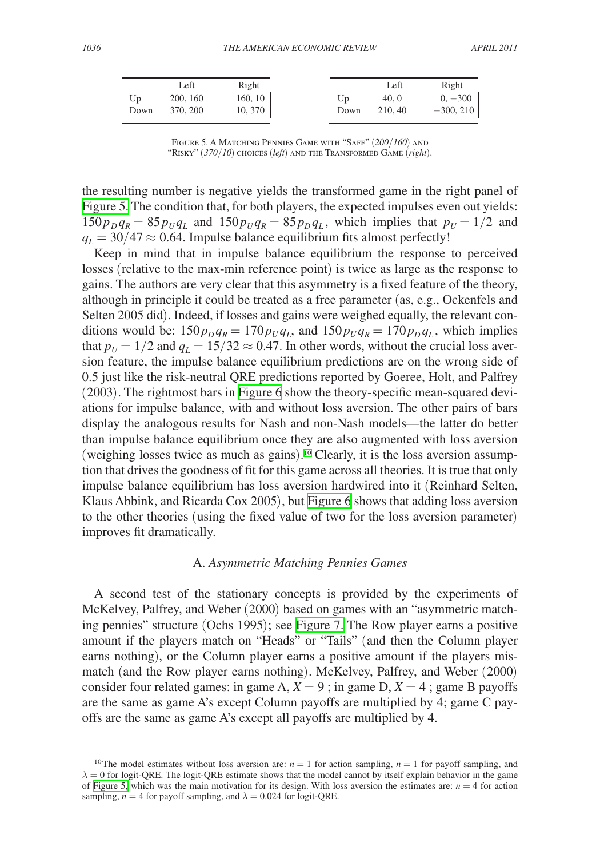<span id="page-7-0"></span>

|      | Left     | Right   |      | Left    | Right       |
|------|----------|---------|------|---------|-------------|
| Up   | 200, 160 | 160, 10 | Up   | 40, 0   | $0, -300$   |
| Down | 370, 200 | 10, 370 | Down | 210, 40 | $-300, 210$ |

Figure 5. A Matching Pennies Game with "Safe" (*200*/*160*) and "Risky" (*370*/*10*) choices (*left*) and the Transformed Game (*right*).

the resulting number is negative yields the transformed game in the right panel of Figure 5. The condition that, for both players, the expected impulses even out yields:  $150 p_D q_R = 85 p_U q_L$  and  $150 p_U q_R = 85 p_D q_L$ , which implies that  $p_U = 1/2$  and  $q_L$  = 30/47  $\approx$  0.64. Impulse balance equilibrium fits almost perfectly!

Keep in mind that in impulse balance equilibrium the response to perceived losses (relative to the max-min reference point) is twice as large as the response to gains. The authors are very clear that this asymmetry is a fixed feature of the theory, although in principle it could be treated as a free parameter (as, e.g., Ockenfels and Selten 2005 did). Indeed, if losses and gains were weighed equally, the relevant conditions would be:  $150 p_D q_R = 170 p_U q_L$ , and  $150 p_U q_R = 170 p_D q_L$ , which implies that  $p_U = 1/2$  and  $q_L = 15/32 \approx 0.47$ . In other words, without the crucial loss aversion feature, the impulse balance equilibrium predictions are on the wrong side of 0.5 just like the risk-neutral QRE predictions reported by Goeree, Holt, and Palfrey (2003). The rightmost bars in [Figure 6](#page-8-0) show the theory-specific mean-squared deviations for impulse balance, with and without loss aversion. The other pairs of bars display the analogous results for Nash and non-Nash models—the latter do better than impulse balance equilibrium once they are also augmented with loss aversion (weighing losses twice as much as gains). 10 Clearly, it is the loss aversion assumption that drives the goodness of fit for this game across all theories. It is true that only impulse balance equilibrium has loss aversion hardwired into it (Reinhard Selten, Klaus Abbink, and Ricarda Cox 2005), but [Figure 6](#page-8-0) shows that adding loss aversion to the other theories (using the fixed value of two for the loss aversion parameter) improves fit dramatically.

#### A. *Asymmetric Matching Pennies Games*

A second test of the stationary concepts is provided by the experiments of McKelvey, Palfrey, and Weber (2000) based on games with an "asymmetric matching pennies" structure (Ochs 1995); see [Figure 7.](#page-10-0) The Row player earns a positive amount if the players match on "Heads" or "Tails" (and then the Column player earns nothing), or the Column player earns a positive amount if the players mismatch (and the Row player earns nothing). McKelvey, Palfrey, and Weber (2000) consider four related games: in game A,  $X = 9$ ; in game D,  $X = 4$ ; game B payoffs are the same as game A's except Column payoffs are multiplied by 4; game C payoffs are the same as game A's except all payoffs are multiplied by 4.

<sup>&</sup>lt;sup>10</sup>The model estimates without loss aversion are:  $n = 1$  for action sampling,  $n = 1$  for payoff sampling, and  $\lambda = 0$  for logit-QRE. The logit-QRE estimate shows that the model cannot by itself explain behavior in the game of Figure 5, which was the main motivation for its design. With loss aversion the estimates are:  $n = 4$  for action sampling,  $n = 4$  for payoff sampling, and  $\lambda = 0.024$  for logit-QRE.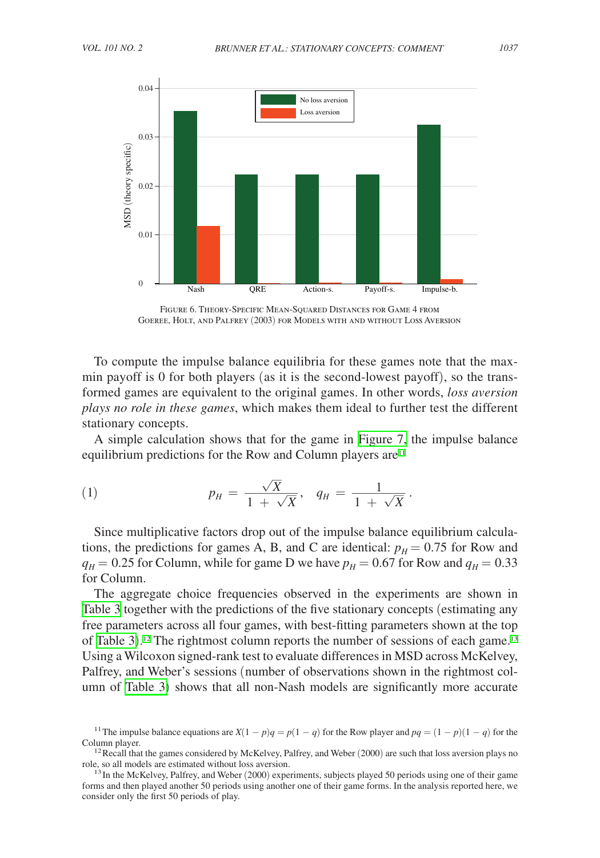<span id="page-8-0"></span>0.04

0.03

0.02

0.01

MSD (theory specic)

MSD (theory specific)

Nash





0 <del>June 2012 19:00 Mash 20 QRE</del> Action-s. Payoff-s. Impulse-b.

To compute the impulse balance equilibria for these games note that the maxmin payoff is 0 for both players (as it is the second-lowest payoff), so the transformed games are equivalent to the original games. In other words, *loss aversion plays no role in these games*, which makes them ideal to further test the different stationary concepts.

A simple calculation shows that for the game in [Figure 7,](#page-10-0) the impulse balance equilibrium predictions for the Row and Column players are<sup>11</sup>

A simple calculation shows that for the game in Figure 7, equilibrium predictions for the Row and Column players are<sup>11</sup>  
(1) 
$$
p_H = \frac{\sqrt{X}}{1 + \sqrt{X}}, q_H = \frac{1}{1 + \sqrt{X}}.
$$

Since multiplicative factors drop out of the impulse balance equilibrium calculations, the predictions for games A, B, and C are identical:  $p_H = 0.75$  for Row and  $q_H$  = 0.25 for Column, while for game D we have  $p_H$  = 0.67 for Row and  $q_H$  = 0.33 for Column.

The aggregate choice frequencies observed in the experiments are shown in [Table](#page-9-0) 3 together with the predictions of the five stationary concepts (estimating any free parameters across all four games, with best-fitting parameters shown at the top of [Table 3](#page-9-0)). 12 The rightmost column reports the number of sessions of each game.13 Using a Wilcoxon signed-rank test to evaluate differences in MSD across McKelvey, Palfrey, and Weber's sessions (number of observations shown in the rightmost column of [Table 3](#page-9-0)) shows that all non-Nash models are significantly more accurate

<sup>&</sup>lt;sup>11</sup>The impulse balance equations are  $X(1 - p)q = p(1 - q)$  for the Row player and  $pq = (1 - p)(1 - q)$  for the Column player.

 $^{12}$ Recall that the games considered by McKelvey, Palfrey, and Weber (2000) are such that loss aversion plays no role, so all models are estimated without loss aversion.

<sup>&</sup>lt;sup>13</sup> In the McKelvey, Palfrey, and Weber (2000) experiments, subjects played 50 periods using one of their game forms and then played another 50 periods using another one of their game forms. In the analysis reported here, we consider only the first 50 periods of play.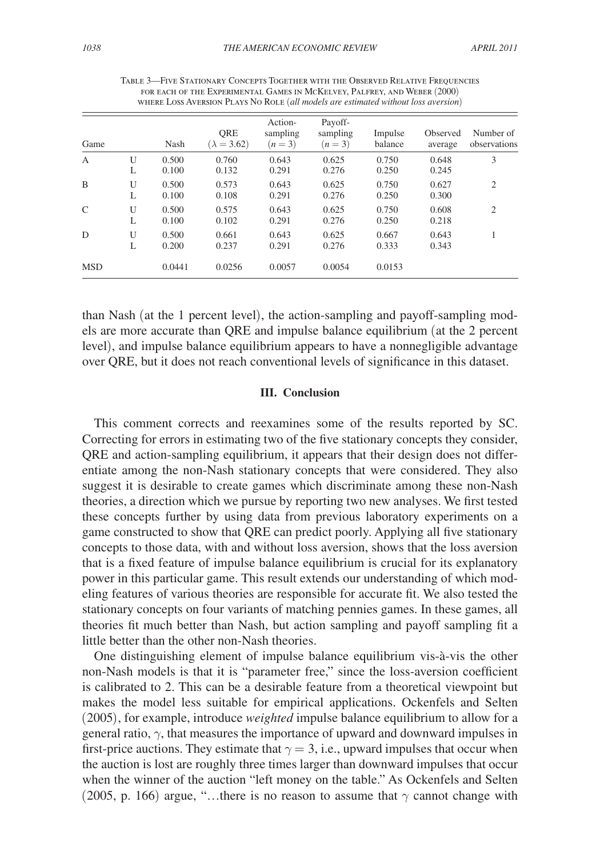<span id="page-9-0"></span>

| Game          |        | Nash           | <b>ORE</b><br>$(\lambda = 3.62)$ | Action-<br>sampling<br>$(n=3)$ | Payoff-<br>sampling<br>$(n=3)$ | Impulse<br>balance | Observed<br>average | Number of<br>observations |
|---------------|--------|----------------|----------------------------------|--------------------------------|--------------------------------|--------------------|---------------------|---------------------------|
| $\mathbf{A}$  | U<br>L | 0.500<br>0.100 | 0.760<br>0.132                   | 0.643<br>0.291                 | 0.625<br>0.276                 | 0.750<br>0.250     | 0.648<br>0.245      | 3                         |
| B             | U<br>L | 0.500<br>0.100 | 0.573<br>0.108                   | 0.643<br>0.291                 | 0.625<br>0.276                 | 0.750<br>0.250     | 0.627<br>0.300      | $\overline{2}$            |
| $\mathcal{C}$ | U<br>L | 0.500<br>0.100 | 0.575<br>0.102                   | 0.643<br>0.291                 | 0.625<br>0.276                 | 0.750<br>0.250     | 0.608<br>0.218      | $\overline{c}$            |
| D             | U<br>L | 0.500<br>0.200 | 0.661<br>0.237                   | 0.643<br>0.291                 | 0.625<br>0.276                 | 0.667<br>0.333     | 0.643<br>0.343      |                           |
| <b>MSD</b>    |        | 0.0441         | 0.0256                           | 0.0057                         | 0.0054                         | 0.0153             |                     |                           |

Table 3—Five Stationary Concepts Together with the Observed Relative Frequencies for each of the Experimental Games in McKelvey, Palfrey, and Weber (2000) where Loss Aversion Plays No Role (*all models are estimated without loss aversion*)

than Nash (at the 1 percent level), the action-sampling and payoff-sampling models are more accurate than QRE and impulse balance equilibrium (at the 2 percent level), and impulse balance equilibrium appears to have a nonnegligible advantage over QRE, but it does not reach conventional levels of significance in this dataset.

## **III. Conclusion**

This comment corrects and reexamines some of the results reported by SC. Correcting for errors in estimating two of the five stationary concepts they consider, QRE and action-sampling equilibrium, it appears that their design does not differentiate among the non-Nash stationary concepts that were considered. They also suggest it is desirable to create games which discriminate among these non-Nash theories, a direction which we pursue by reporting two new analyses. We first tested these concepts further by using data from previous laboratory experiments on a game constructed to show that QRE can predict poorly. Applying all five stationary concepts to those data, with and without loss aversion, shows that the loss aversion that is a fixed feature of impulse balance equilibrium is crucial for its explanatory power in this particular game. This result extends our understanding of which modeling features of various theories are responsible for accurate fit. We also tested the stationary concepts on four variants of matching pennies games. In these games, all theories fit much better than Nash, but action sampling and payoff sampling fit a little better than the other non-Nash theories.

One distinguishing element of impulse balance equilibrium vis-à-vis the other non-Nash models is that it is "parameter free," since the loss-aversion coefficient is calibrated to 2. This can be a desirable feature from a theoretical viewpoint but makes the model less suitable for empirical applications. Ockenfels and Selten (2005), for example, introduce *weighted* impulse balance equilibrium to allow for a general ratio,  $\gamma$ , that measures the importance of upward and downward impulses in first-price auctions. They estimate that  $\gamma = 3$ , i.e., upward impulses that occur when the auction is lost are roughly three times larger than downward impulses that occur when the winner of the auction "left money on the table." As Ockenfels and Selten (2005, p. 166) argue, "...there is no reason to assume that  $\gamma$  cannot change with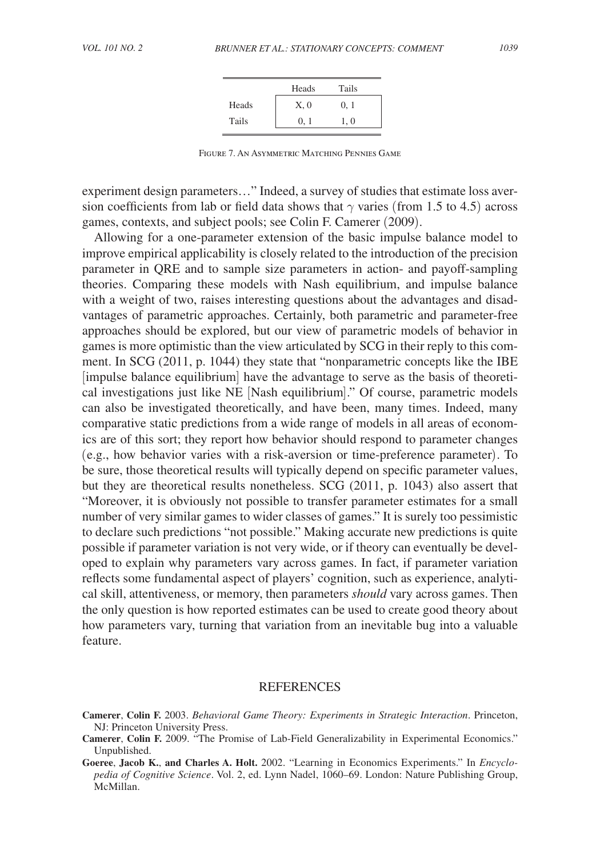|       | Heads | Tails |  |
|-------|-------|-------|--|
| Heads | X, 0  | 0,1   |  |
| Tails | 0, 1  | 1,0   |  |
|       |       |       |  |

Figure 7. An Asymmetric Matching Pennies Game

<span id="page-10-0"></span>experiment design parameters…" Indeed, a survey of studies that estimate loss aversion coefficients from lab or field data shows that  $\gamma$  varies (from 1.5 to 4.5) across games, contexts, and subject pools; see Colin F. Camerer (2009).

Allowing for a one-parameter extension of the basic impulse balance model to improve empirical applicability is closely related to the introduction of the precision parameter in QRE and to sample size parameters in action- and payoff-sampling theories. Comparing these models with Nash equilibrium, and impulse balance with a weight of two, raises interesting questions about the advantages and disadvantages of parametric approaches. Certainly, both parametric and parameter-free approaches should be explored, but our view of parametric models of behavior in games is more optimistic than the view articulated by SCG in their reply to this comment. In SCG (2011, p. 1044) they state that "nonparametric concepts like the IBE [impulse balance equilibrium] have the advantage to serve as the basis of theoretical investigations just like NE [Nash equilibrium]." Of course, parametric models can also be investigated theoretically, and have been, many times. Indeed, many comparative static predictions from a wide range of models in all areas of economics are of this sort; they report how behavior should respond to parameter changes (e.g., how behavior varies with a risk-aversion or time-preference parameter). To be sure, those theoretical results will typically depend on specific parameter values, but they are theoretical results nonetheless. SCG (2011, p. 1043) also assert that "Moreover, it is obviously not possible to transfer parameter estimates for a small number of very similar games to wider classes of games." It is surely too pessimistic to declare such predictions "not possible." Making accurate new predictions is quite possible if parameter variation is not very wide, or if theory can eventually be developed to explain why parameters vary across games. In fact, if parameter variation reflects some fundamental aspect of players' cognition, such as experience, analytical skill, attentiveness, or memory, then parameters *should* vary across games. Then the only question is how reported estimates can be used to create good theory about how parameters vary, turning that variation from an inevitable bug into a valuable feature.

#### **REFERENCES**

- **Camerer**, **Colin F.** 2003. *Behavioral Game Theory: Experiments in Strategic Interaction*. Princeton, NJ: Princeton University Press.
- **Camerer**, **Colin F.** 2009. "The Promise of Lab-Field Generalizability in Experimental Economics." Unpublished.
- **Goeree**, **Jacob K.**, **and Charles A. Holt.** 2002. "Learning in Economics Experiments." In *Encyclopedia of Cognitive Science*. Vol. 2, ed. Lynn Nadel, 1060–69. London: Nature Publishing Group, McMillan.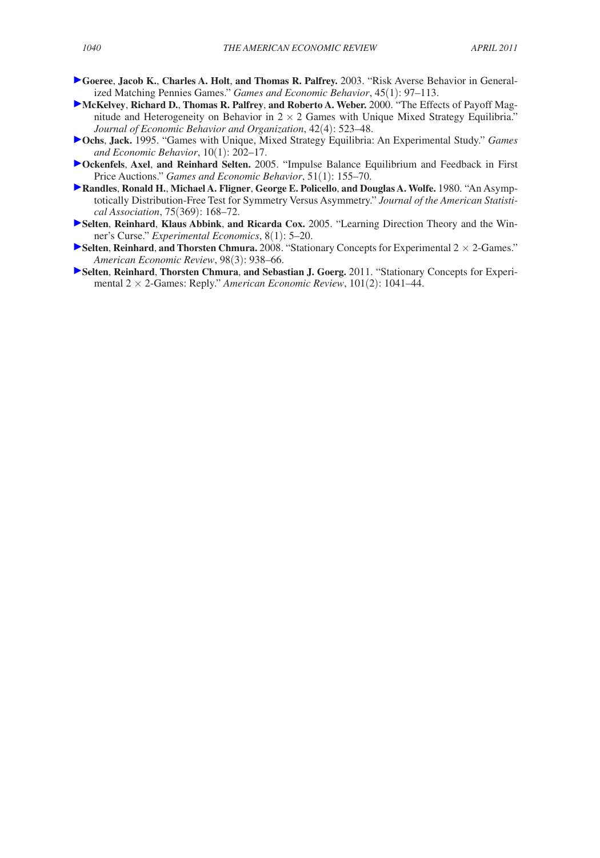- **Goeree**, **Jacob K.**, **Charles A. Holt**, **and Thomas R. Palfrey.** 2003. "Risk Averse Behavior in Generalized Matching Pennies Games." *Games and Economic Behavior*, 45(1): 97–113.
- **McKelvey**, **Richard D.**, **Thomas R. Palfrey**, **and Roberto A. Weber.** 2000. "The Effects of Payoff Magnitude and Heterogeneity on Behavior in  $2 \times 2$  Games with Unique Mixed Strategy Equilibria." *Journal of Economic Behavior and Organization*, 42(4): 523–48.
- **Ochs**, **Jack.** 1995. "Games with Unique, Mixed Strategy Equilibria: An Experimental Study." *Games and Economic Behavior*, 10(1): 202–17.
- **Ockenfels**, **Axel**, **and Reinhard Selten.** 2005. "Impulse Balance Equilibrium and Feedback in First Price Auctions." *Games and Economic Behavior*, 51(1): 155–70.
- **Randles**, **Ronald H.**, **Michael A. Fligner**, **George E. Policello**, **and Douglas A. Wolfe.** 1980. "An Asymptotically Distribution-Free Test for Symmetry Versus Asymmetry." *Journal of the American Statistical Association*, 75(369): 168–72.
- **Selten**, **Reinhard**, **Klaus Abbink**, **and Ricarda Cox.** 2005. "Learning Direction Theory and the Winner's Curse." *Experimental Economics*, 8(1): 5–20.
- **Selten**, **Reinhard**, **and Thorsten Chmura.** 2008. "Stationary Concepts for Experimental 2 × 2-Games." *American Economic Review*, 98(3): 938–66.
- **Selten**, **Reinhard**, **Thorsten Chmura**, **and Sebastian J. Goerg.** 2011. "Stationary Concepts for Experimental 2 × 2-Games: Reply." *American Economic Review*, 101(2): 1041–44.